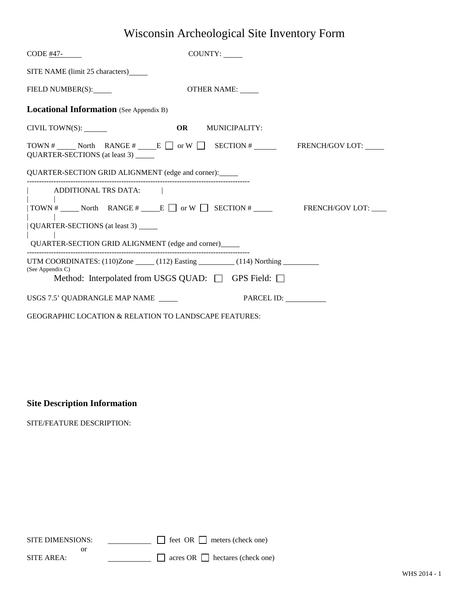## Wisconsin Archeological Site Inventory Form

| $CODE$ #47-                                                                                  | COUNTY:                                                                                            |  |  |
|----------------------------------------------------------------------------------------------|----------------------------------------------------------------------------------------------------|--|--|
| SITE NAME (limit 25 characters)                                                              |                                                                                                    |  |  |
| FIELD NUMBER(S):                                                                             | OTHER NAME:                                                                                        |  |  |
| <b>Locational Information</b> (See Appendix B)                                               |                                                                                                    |  |  |
| CIVIL TOWN(S):                                                                               | <b>OR</b> MUNICIPALITY:                                                                            |  |  |
| QUARTER-SECTIONS (at least 3)                                                                | TOWN # North RANGE # E or W SECTION # FRENCH/GOV LOT:                                              |  |  |
| QUARTER-SECTION GRID ALIGNMENT (edge and corner):                                            |                                                                                                    |  |  |
| ADDITIONAL TRS DATA:                                                                         |                                                                                                    |  |  |
|                                                                                              | $\vert \text{TOWN} \Vert$ Morth RANGE $\Vert$ E $\Box$ or W $\Box$ SECTION $\Vert$ FRENCH/GOV LOT: |  |  |
| QUARTER-SECTIONS (at least 3) _____<br>QUARTER-SECTION GRID ALIGNMENT (edge and corner)_____ |                                                                                                    |  |  |
|                                                                                              | UTM COORDINATES: $(110)$ Zone $(112)$ Easting $(114)$ Northing $(114)$                             |  |  |
| (See Appendix C)                                                                             | Method: Interpolated from USGS QUAD: □ GPS Field: □                                                |  |  |
| USGS 7.5' QUADRANGLE MAP NAME                                                                | PARCEL ID:                                                                                         |  |  |
|                                                                                              | <b>GEOGRAPHIC LOCATION &amp; RELATION TO LANDSCAPE FEATURES:</b>                                   |  |  |

## **Site Description Information**

SITE/FEATURE DESCRIPTION:

| SITE DIMENSIONS: | $\Box$ feet OR $\Box$ meters (check one)    |
|------------------|---------------------------------------------|
|                  |                                             |
| SITE AREA:       | $\Box$ acres OR $\Box$ hectares (check one) |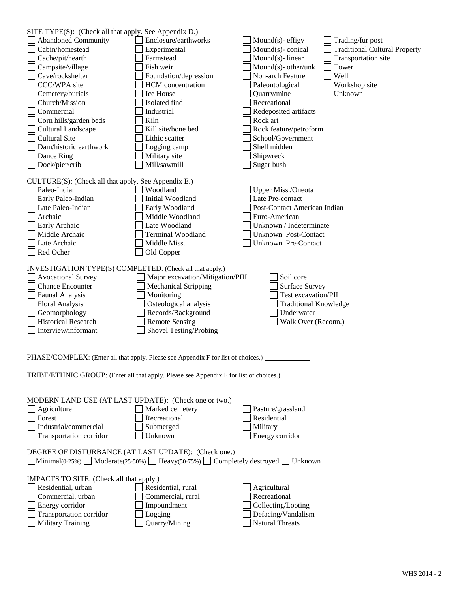| SITE TYPE(S): (Check all that apply. See Appendix D.)                                                                                                                                                                       |                                                                                        |                                                          |  |  |  |
|-----------------------------------------------------------------------------------------------------------------------------------------------------------------------------------------------------------------------------|----------------------------------------------------------------------------------------|----------------------------------------------------------|--|--|--|
| <b>Abandoned Community</b>                                                                                                                                                                                                  | Enclosure/earthworks                                                                   | Mound $(s)$ - effigy<br>Trading/fur post                 |  |  |  |
| Cabin/homestead                                                                                                                                                                                                             | Experimental                                                                           | Mound(s)-conical<br><b>Traditional Cultural Property</b> |  |  |  |
| Cache/pit/hearth                                                                                                                                                                                                            | Farmstead                                                                              | Mound(s)-linear<br>Transportation site                   |  |  |  |
| Campsite/village                                                                                                                                                                                                            | Fish weir                                                                              | Mound(s)- other/unk<br>Tower                             |  |  |  |
| Cave/rockshelter                                                                                                                                                                                                            | Foundation/depression                                                                  | Well<br>Non-arch Feature                                 |  |  |  |
| CCC/WPA site                                                                                                                                                                                                                | HCM concentration                                                                      | Paleontological<br>Workshop site                         |  |  |  |
| Cemetery/burials                                                                                                                                                                                                            | Ice House                                                                              | Unknown<br>Quarry/mine                                   |  |  |  |
| Church/Mission                                                                                                                                                                                                              | Isolated find                                                                          | Recreational                                             |  |  |  |
| Commercial                                                                                                                                                                                                                  | Industrial                                                                             | Redeposited artifacts                                    |  |  |  |
| Corn hills/garden beds                                                                                                                                                                                                      | Kiln                                                                                   | Rock art                                                 |  |  |  |
| Cultural Landscape                                                                                                                                                                                                          | Kill site/bone bed                                                                     | Rock feature/petroform                                   |  |  |  |
| <b>Cultural Site</b>                                                                                                                                                                                                        | Lithic scatter                                                                         | School/Government                                        |  |  |  |
| Dam/historic earthwork                                                                                                                                                                                                      | Logging camp                                                                           | Shell midden                                             |  |  |  |
| Dance Ring                                                                                                                                                                                                                  | Military site                                                                          | Shipwreck                                                |  |  |  |
| Dock/pier/crib                                                                                                                                                                                                              | Mill/sawmill                                                                           | Sugar bush                                               |  |  |  |
|                                                                                                                                                                                                                             |                                                                                        |                                                          |  |  |  |
| CULTURE(S): (Check all that apply. See Appendix E.)                                                                                                                                                                         |                                                                                        |                                                          |  |  |  |
| Paleo-Indian                                                                                                                                                                                                                | Woodland                                                                               | <b>Upper Miss./Oneota</b>                                |  |  |  |
| Early Paleo-Indian                                                                                                                                                                                                          | Initial Woodland                                                                       | Late Pre-contact                                         |  |  |  |
| Late Paleo-Indian                                                                                                                                                                                                           | Early Woodland                                                                         | Post-Contact American Indian                             |  |  |  |
| Archaic                                                                                                                                                                                                                     | Middle Woodland                                                                        | Euro-American                                            |  |  |  |
| Early Archaic                                                                                                                                                                                                               | Late Woodland                                                                          | Unknown / Indeterminate                                  |  |  |  |
| Middle Archaic                                                                                                                                                                                                              | <b>Terminal Woodland</b>                                                               | Unknown Post-Contact                                     |  |  |  |
| Late Archaic                                                                                                                                                                                                                | Middle Miss.                                                                           | Unknown Pre-Contact                                      |  |  |  |
| Red Ocher                                                                                                                                                                                                                   | Old Copper                                                                             |                                                          |  |  |  |
| INVESTIGATION TYPE(S) COMPLETED: (Check all that apply.)                                                                                                                                                                    |                                                                                        |                                                          |  |  |  |
| <b>Avocational Survey</b>                                                                                                                                                                                                   | Major excavation/Mitigation/PIII                                                       | Soil core                                                |  |  |  |
| <b>Chance Encounter</b>                                                                                                                                                                                                     | <b>Mechanical Stripping</b>                                                            | <b>Surface Survey</b>                                    |  |  |  |
| <b>Faunal Analysis</b>                                                                                                                                                                                                      | Monitoring                                                                             | Test excavation/PII                                      |  |  |  |
| <b>Floral Analysis</b>                                                                                                                                                                                                      | Osteological analysis                                                                  | <b>Traditional Knowledge</b>                             |  |  |  |
| Geomorphology                                                                                                                                                                                                               | Records/Background                                                                     | Underwater                                               |  |  |  |
| <b>Historical Research</b>                                                                                                                                                                                                  | <b>Remote Sensing</b>                                                                  | Walk Over (Reconn.)                                      |  |  |  |
| Interview/informant                                                                                                                                                                                                         | Shovel Testing/Probing                                                                 |                                                          |  |  |  |
|                                                                                                                                                                                                                             |                                                                                        |                                                          |  |  |  |
| PHASE/COMPLEX: (Enter all that apply. Please see Appendix F for list of choices.)                                                                                                                                           |                                                                                        |                                                          |  |  |  |
|                                                                                                                                                                                                                             | TRIBE/ETHNIC GROUP: (Enter all that apply. Please see Appendix F for list of choices.) |                                                          |  |  |  |
| MODERN LAND USE (AT LAST UPDATE): (Check one or two.)                                                                                                                                                                       |                                                                                        |                                                          |  |  |  |
| Agriculture                                                                                                                                                                                                                 | Marked cemetery                                                                        | Pasture/grassland                                        |  |  |  |
| Forest                                                                                                                                                                                                                      | Recreational                                                                           | Residential                                              |  |  |  |
| Industrial/commercial                                                                                                                                                                                                       | Submerged<br>Unknown                                                                   | Military                                                 |  |  |  |
| Transportation corridor                                                                                                                                                                                                     |                                                                                        | Energy corridor                                          |  |  |  |
| DEGREE OF DISTURBANCE (AT LAST UPDATE): (Check one.)<br>$\boxed{\text{Minimal}(0.25\%)}$ Moderate(25-50%) $\boxed{\phantom{\text{P}}\text{Heavy}(50.75\%)}$ Completely destroyed $\boxed{\phantom{\text{P}}\text{Unknown}}$ |                                                                                        |                                                          |  |  |  |
| IMPACTS TO SITE: (Check all that apply.)                                                                                                                                                                                    |                                                                                        |                                                          |  |  |  |
| Residential, urban                                                                                                                                                                                                          | Residential, rural                                                                     | Agricultural                                             |  |  |  |
| Commercial, urban                                                                                                                                                                                                           | Commercial, rural                                                                      | Recreational                                             |  |  |  |
| Energy corridor                                                                                                                                                                                                             | Impoundment                                                                            | Collecting/Looting                                       |  |  |  |
| Transportation corridor                                                                                                                                                                                                     | Logging                                                                                | Defacing/Vandalism                                       |  |  |  |
| <b>Military Training</b>                                                                                                                                                                                                    | Quarry/Mining                                                                          | <b>Natural Threats</b>                                   |  |  |  |
|                                                                                                                                                                                                                             |                                                                                        |                                                          |  |  |  |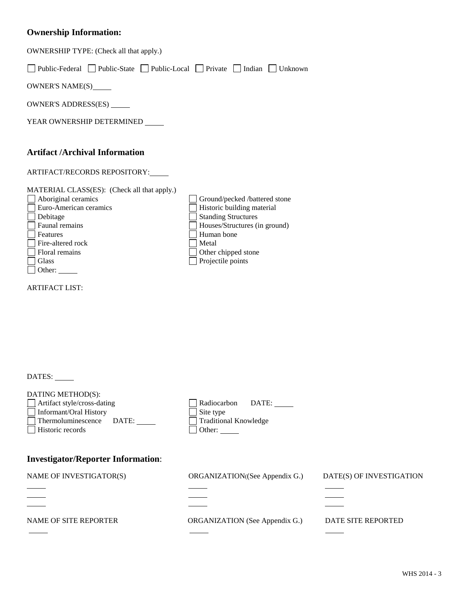## **Ownership Information:**

| OWNERSHIP TYPE: (Check all that apply.)                                                                                                                                                                                                                                                            |                                                                                                                                                                                               |                          |  |  |
|----------------------------------------------------------------------------------------------------------------------------------------------------------------------------------------------------------------------------------------------------------------------------------------------------|-----------------------------------------------------------------------------------------------------------------------------------------------------------------------------------------------|--------------------------|--|--|
| Public-Federal Public-State Public-Local Private Indian Unknown<br>$\blacksquare$                                                                                                                                                                                                                  |                                                                                                                                                                                               |                          |  |  |
| OWNER'S NAME(S)_____                                                                                                                                                                                                                                                                               |                                                                                                                                                                                               |                          |  |  |
| OWNER'S ADDRESS(ES) ______                                                                                                                                                                                                                                                                         |                                                                                                                                                                                               |                          |  |  |
| YEAR OWNERSHIP DETERMINED _____                                                                                                                                                                                                                                                                    |                                                                                                                                                                                               |                          |  |  |
| <b>Artifact /Archival Information</b><br>ARTIFACT/RECORDS REPOSITORY:<br>MATERIAL CLASS(ES): (Check all that apply.)<br>Aboriginal ceramics<br>Euro-American ceramics<br>Debitage<br>Faunal remains<br>Features<br>Fire-altered rock<br>Floral remains<br>Glass<br>Other:<br><b>ARTIFACT LIST:</b> | Ground/pecked /battered stone<br>Historic building material<br><b>Standing Structures</b><br>Houses/Structures (in ground)<br>Human bone<br>Metal<br>Other chipped stone<br>Projectile points |                          |  |  |
| DATES:<br>DATING METHOD(S):<br>Artifact style/cross-dating<br>Informant/Oral History                                                                                                                                                                                                               | Radiocarbon<br>$\text{DATE:}\_\_\_\_\$<br>Site type                                                                                                                                           |                          |  |  |
| Thermoluminescence<br>DATE:<br>Historic records                                                                                                                                                                                                                                                    | <b>Traditional Knowledge</b><br>Other:                                                                                                                                                        |                          |  |  |
| <b>Investigator/Reporter Information:</b>                                                                                                                                                                                                                                                          |                                                                                                                                                                                               |                          |  |  |
| NAME OF INVESTIGATOR(S)                                                                                                                                                                                                                                                                            | ORGANIZATION((See Appendix G.)                                                                                                                                                                | DATE(S) OF INVESTIGATION |  |  |
|                                                                                                                                                                                                                                                                                                    |                                                                                                                                                                                               |                          |  |  |
| NAME OF SITE REPORTER                                                                                                                                                                                                                                                                              | ORGANIZATION (See Appendix G.)                                                                                                                                                                | DATE SITE REPORTED       |  |  |